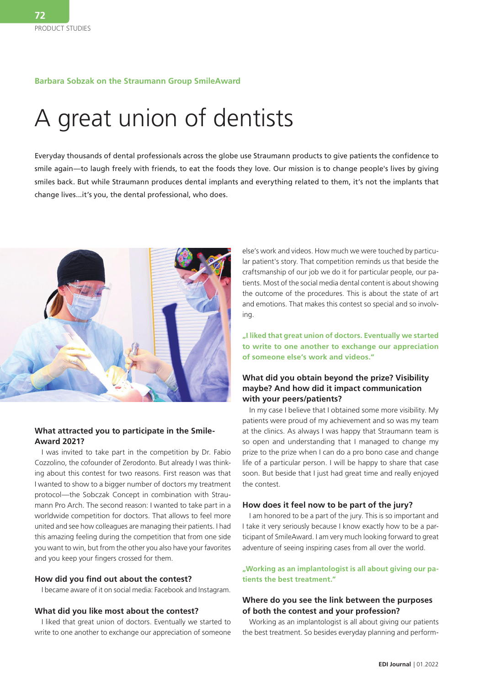#### **Barbara Sobzak on the Straumann Group SmileAward**

# A great union of dentists

Everyday thousands of dental professionals across the globe use Straumann products to give patients the confidence to smile again—to laugh freely with friends, to eat the foods they love. Our mission is to change people's lives by giving smiles back. But while Straumann produces dental implants and everything related to them, it's not the implants that change lives...it's you, the dental professional, who does.



#### **What attracted you to participate in the Smile-Award 2021?**

I was invited to take part in the competition by Dr. Fabio Cozzolino, the cofounder of Zerodonto. But already I was thinking about this contest for two reasons. First reason was that I wanted to show to a bigger number of doctors my treatment protocol—the Sobczak Concept in combination with Straumann Pro Arch. The second reason: I wanted to take part in a worldwide competition for doctors. That allows to feel more united and see how colleagues are managing their patients. I had this amazing feeling during the competition that from one side you want to win, but from the other you also have your favorites and you keep your fingers crossed for them.

#### **How did you find out about the contest?**

I became aware of it on social media: Facebook and Instagram.

#### **What did you like most about the contest?**

I liked that great union of doctors. Eventually we started to write to one another to exchange our appreciation of someone

else's work and videos. How much we were touched by particular patient's story. That competition reminds us that beside the craftsmanship of our job we do it for particular people, our patients. Most of the social media dental content is about showing the outcome of the procedures. This is about the state of art and emotions. That makes this contest so special and so involving.

**"I liked that great union of doctors. Eventually we started to write to one another to exchange our appreciation of someone else's work and videos."**

#### **What did you obtain beyond the prize? Visibility maybe? And how did it impact communication with your peers/patients?**

In my case I believe that I obtained some more visibility. My patients were proud of my achievement and so was my team at the clinics. As always I was happy that Straumann team is so open and understanding that I managed to change my prize to the prize when I can do a pro bono case and change life of a particular person. I will be happy to share that case soon. But beside that I just had great time and really enjoyed the contest.

#### **How does it feel now to be part of the jury?**

I am honored to be a part of the jury. This is so important and I take it very seriously because I know exactly how to be a participant of SmileAward. I am very much looking forward to great adventure of seeing inspiring cases from all over the world.

**"Working as an implantologist is all about giving our patients the best treatment."**

#### **Where do you see the link between the purposes of both the contest and your profession?**

Working as an implantologist is all about giving our patients the best treatment. So besides everyday planning and perform